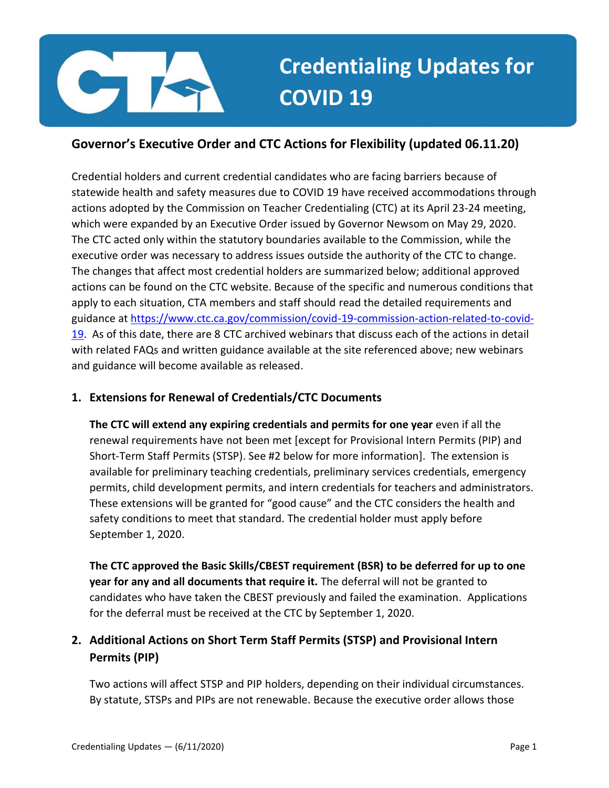

# **Credentialing Updates for COVID 19**

## **Governor's Executive Order and CTC Actions for Flexibility (updated 06.11.20)**

Credential holders and current credential candidates who are facing barriers because of statewide health and safety measures due to COVID 19 have received accommodations through actions adopted by the Commission on Teacher Credentialing (CTC) at its April 23-24 meeting, which were expanded by an Executive Order issued by Governor Newsom on May 29, 2020. The CTC acted only within the statutory boundaries available to the Commission, while the executive order was necessary to address issues outside the authority of the CTC to change. The changes that affect most credential holders are summarized below; additional approved actions can be found on the CTC website. Because of the specific and numerous conditions that apply to each situation, CTA members and staff should read the detailed requirements and guidance at [https://www.ctc.ca.gov/commission/covid-19-commission-action-related-to-covid-](https://www.ctc.ca.gov/commission/covid-19-commission-action-related-to-covid-19)[19.](https://www.ctc.ca.gov/commission/covid-19-commission-action-related-to-covid-19) As of this date, there are 8 CTC archived webinars that discuss each of the actions in detail with related FAQs and written guidance available at the site referenced above; new webinars and guidance will become available as released.

## **1. Extensions for Renewal of Credentials/CTC Documents**

**The CTC will extend any expiring credentials and permits for one year** even if all the renewal requirements have not been met [except for Provisional Intern Permits (PIP) and Short-Term Staff Permits (STSP). See #2 below for more information]. The extension is available for preliminary teaching credentials, preliminary services credentials, emergency permits, child development permits, and intern credentials for teachers and administrators. These extensions will be granted for "good cause" and the CTC considers the health and safety conditions to meet that standard. The credential holder must apply before September 1, 2020.

**The CTC approved the Basic Skills/CBEST requirement (BSR) to be deferred for up to one year for any and all documents that require it.** The deferral will not be granted to candidates who have taken the CBEST previously and failed the examination. Applications for the deferral must be received at the CTC by September 1, 2020.

## **2. Additional Actions on Short Term Staff Permits (STSP) and Provisional Intern Permits (PIP)**

Two actions will affect STSP and PIP holders, depending on their individual circumstances. By statute, STSPs and PIPs are not renewable. Because the executive order allows those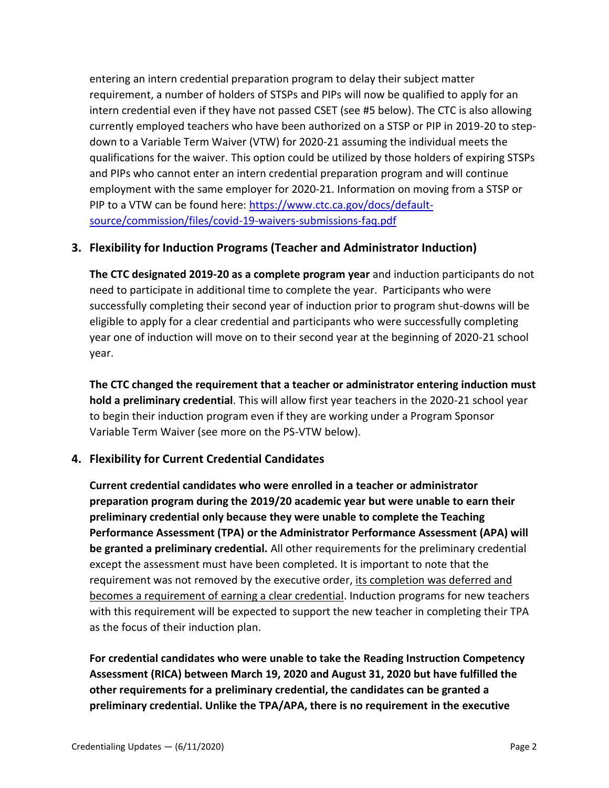entering an intern credential preparation program to delay their subject matter requirement, a number of holders of STSPs and PIPs will now be qualified to apply for an intern credential even if they have not passed CSET (see #5 below). The CTC is also allowing currently employed teachers who have been authorized on a STSP or PIP in 2019-20 to stepdown to a Variable Term Waiver (VTW) for 2020-21 assuming the individual meets the qualifications for the waiver. This option could be utilized by those holders of expiring STSPs and PIPs who cannot enter an intern credential preparation program and will continue employment with the same employer for 2020-21. Information on moving from a STSP or PIP to a VTW can be found here: [https://www.ctc.ca.gov/docs/default](https://www.ctc.ca.gov/docs/default-source/commission/files/covid-19-waivers-submissions-faq.pdf)[source/commission/files/covid-19-waivers-submissions-faq.pdf](https://www.ctc.ca.gov/docs/default-source/commission/files/covid-19-waivers-submissions-faq.pdf)

### **3. Flexibility for Induction Programs (Teacher and Administrator Induction)**

**The CTC designated 2019-20 as a complete program year** and induction participants do not need to participate in additional time to complete the year. Participants who were successfully completing their second year of induction prior to program shut-downs will be eligible to apply for a clear credential and participants who were successfully completing year one of induction will move on to their second year at the beginning of 2020-21 school year.

**The CTC changed the requirement that a teacher or administrator entering induction must hold a preliminary credential**. This will allow first year teachers in the 2020-21 school year to begin their induction program even if they are working under a Program Sponsor Variable Term Waiver (see more on the PS-VTW below).

### **4. Flexibility for Current Credential Candidates**

**Current credential candidates who were enrolled in a teacher or administrator preparation program during the 2019/20 academic year but were unable to earn their preliminary credential only because they were unable to complete the Teaching Performance Assessment (TPA) or the Administrator Performance Assessment (APA) will be granted a preliminary credential.** All other requirements for the preliminary credential except the assessment must have been completed. It is important to note that the requirement was not removed by the executive order, its completion was deferred and becomes a requirement of earning a clear credential. Induction programs for new teachers with this requirement will be expected to support the new teacher in completing their TPA as the focus of their induction plan.

**For credential candidates who were unable to take the Reading Instruction Competency Assessment (RICA) between March 19, 2020 and August 31, 2020 but have fulfilled the other requirements for a preliminary credential, the candidates can be granted a preliminary credential. Unlike the TPA/APA, there is no requirement in the executive**